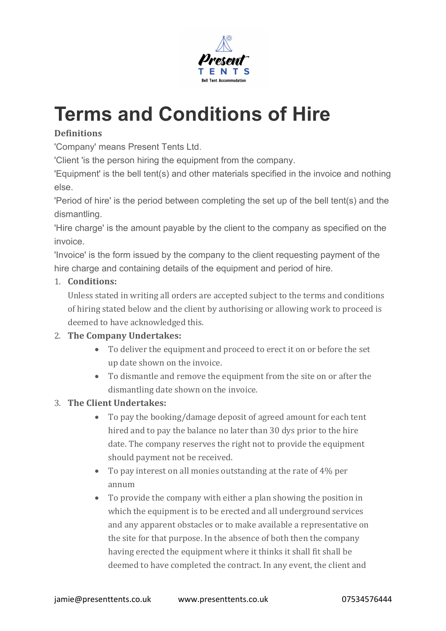

# **Terms and Conditions of Hire**

# **Definitions**

'Company' means Present Tents Ltd.

'Client 'is the person hiring the equipment from the company.

'Equipment' is the bell tent(s) and other materials specified in the invoice and nothing else.

'Period of hire' is the period between completing the set up of the bell tent(s) and the dismantling.

'Hire charge' is the amount payable by the client to the company as specified on the invoice.

'Invoice' is the form issued by the company to the client requesting payment of the hire charge and containing details of the equipment and period of hire.

### 1. **Conditions:**

Unless stated in writing all orders are accepted subject to the terms and conditions of hiring stated below and the client by authorising or allowing work to proceed is deemed to have acknowledged this.

### 2. **The Company Undertakes:**

- To deliver the equipment and proceed to erect it on or before the set up date shown on the invoice.
- To dismantle and remove the equipment from the site on or after the dismantling date shown on the invoice.

### 3. **The Client Undertakes:**

- To pay the booking/damage deposit of agreed amount for each tent hired and to pay the balance no later than 30 dys prior to the hire date. The company reserves the right not to provide the equipment should payment not be received.
- To pay interest on all monies outstanding at the rate of  $4\%$  per annum
- To provide the company with either a plan showing the position in which the equipment is to be erected and all underground services and any apparent obstacles or to make available a representative on the site for that purpose. In the absence of both then the company having erected the equipment where it thinks it shall fit shall be deemed to have completed the contract. In any event, the client and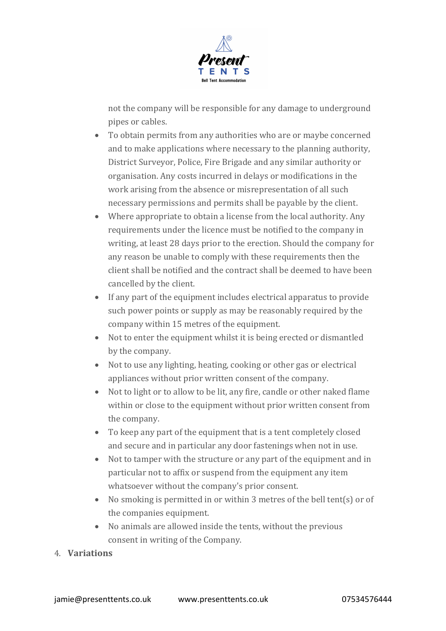

not the company will be responsible for any damage to underground pipes or cables.

- To obtain permits from any authorities who are or maybe concerned and to make applications where necessary to the planning authority, District Surveyor, Police, Fire Brigade and any similar authority or organisation. Any costs incurred in delays or modifications in the work arising from the absence or misrepresentation of all such necessary permissions and permits shall be payable by the client.
- Where appropriate to obtain a license from the local authority. Any requirements under the licence must be notified to the company in writing, at least 28 days prior to the erection. Should the company for any reason be unable to comply with these requirements then the client shall be notified and the contract shall be deemed to have been cancelled by the client.
- $\bullet$  If any part of the equipment includes electrical apparatus to provide such power points or supply as may be reasonably required by the company within 15 metres of the equipment.
- $\bullet$  Not to enter the equipment whilst it is being erected or dismantled by the company.
- Not to use any lighting, heating, cooking or other gas or electrical appliances without prior written consent of the company.
- Not to light or to allow to be lit, any fire, candle or other naked flame within or close to the equipment without prior written consent from the company.
- $\bullet$  To keep any part of the equipment that is a tent completely closed and secure and in particular any door fastenings when not in use.
- Not to tamper with the structure or any part of the equipment and in particular not to affix or suspend from the equipment any item whatsoever without the company's prior consent.
- No smoking is permitted in or within 3 metres of the bell tent(s) or of the companies equipment.
- No animals are allowed inside the tents, without the previous consent in writing of the Company.
- 4. **Variations**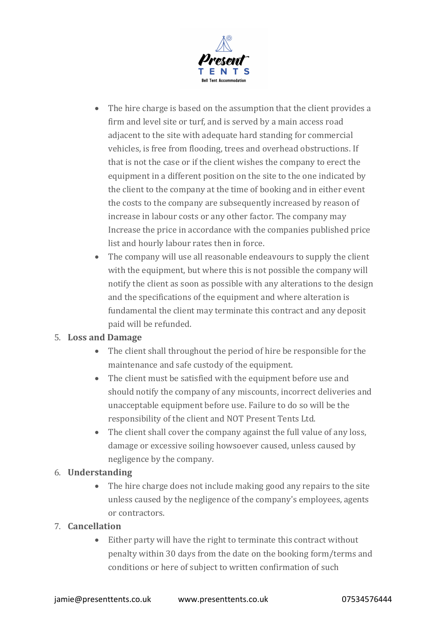

- The hire charge is based on the assumption that the client provides a firm and level site or turf, and is served by a main access road adjacent to the site with adequate hard standing for commercial vehicles, is free from flooding, trees and overhead obstructions. If that is not the case or if the client wishes the company to erect the equipment in a different position on the site to the one indicated by the client to the company at the time of booking and in either event the costs to the company are subsequently increased by reason of increase in labour costs or any other factor. The company may Increase the price in accordance with the companies published price list and hourly labour rates then in force.
- $\bullet$  The company will use all reasonable endeavours to supply the client with the equipment, but where this is not possible the company will notify the client as soon as possible with any alterations to the design and the specifications of the equipment and where alteration is fundamental the client may terminate this contract and any deposit paid will be refunded.

### 5. **Loss and Damage**

- The client shall throughout the period of hire be responsible for the maintenance and safe custody of the equipment.
- The client must be satisfied with the equipment before use and should notify the company of any miscounts, incorrect deliveries and unacceptable equipment before use. Failure to do so will be the responsibility of the client and NOT Present Tents Ltd.
- The client shall cover the company against the full value of any loss, damage or excessive soiling howsoever caused, unless caused by negligence by the company.

### 6. **Understanding**

• The hire charge does not include making good any repairs to the site unless caused by the negligence of the company's employees, agents or contractors.

### 7. **Cancellation**

 $\bullet$  Either party will have the right to terminate this contract without penalty within 30 days from the date on the booking form/terms and conditions or here of subject to written confirmation of such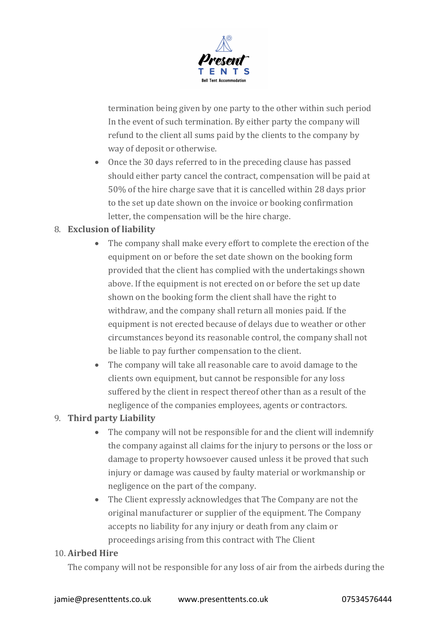

termination being given by one party to the other within such period In the event of such termination. By either party the company will refund to the client all sums paid by the clients to the company by way of deposit or otherwise.

• Once the 30 days referred to in the preceding clause has passed should either party cancel the contract, compensation will be paid at 50% of the hire charge save that it is cancelled within 28 days prior to the set up date shown on the invoice or booking confirmation letter, the compensation will be the hire charge.

### 8. **Exclusion of liability**

- The company shall make every effort to complete the erection of the equipment on or before the set date shown on the booking form provided that the client has complied with the undertakings shown above. If the equipment is not erected on or before the set up date shown on the booking form the client shall have the right to withdraw, and the company shall return all monies paid. If the equipment is not erected because of delays due to weather or other circumstances beyond its reasonable control, the company shall not be liable to pay further compensation to the client.
- The company will take all reasonable care to avoid damage to the clients own equipment, but cannot be responsible for any loss suffered by the client in respect thereof other than as a result of the negligence of the companies employees, agents or contractors.

### 9. **Third party Liability**

- The company will not be responsible for and the client will indemnify the company against all claims for the injury to persons or the loss or damage to property howsoever caused unless it be proved that such injury or damage was caused by faulty material or workmanship or negligence on the part of the company.
- The Client expressly acknowledges that The Company are not the original manufacturer or supplier of the equipment. The Company accepts no liability for any injury or death from any claim or proceedings arising from this contract with The Client

#### 10. **Airbed Hire**

The company will not be responsible for any loss of air from the airbeds during the